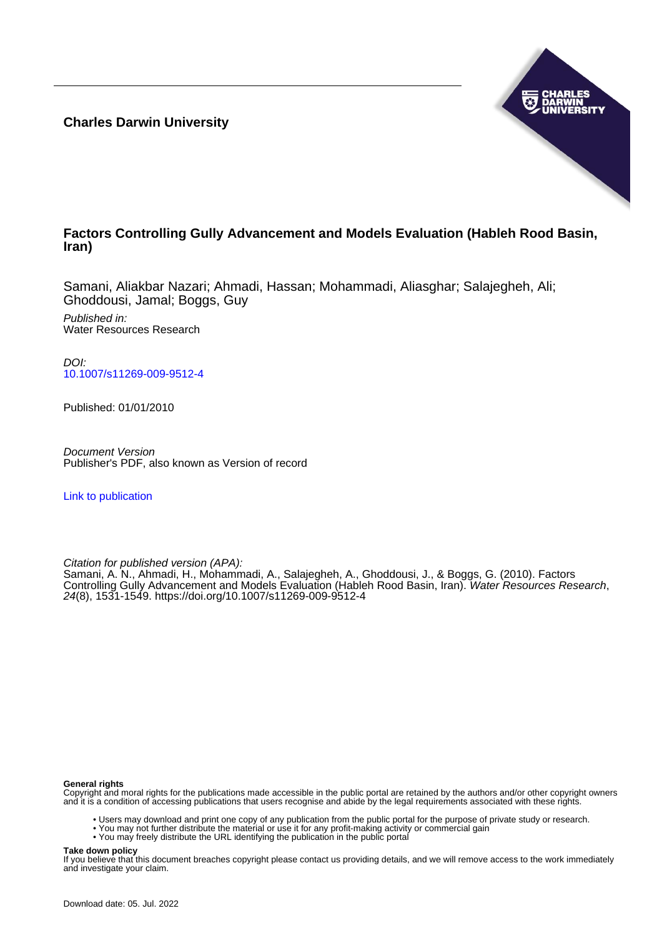**Charles Darwin University**



# **Factors Controlling Gully Advancement and Models Evaluation (Hableh Rood Basin, Iran)**

Samani, Aliakbar Nazari; Ahmadi, Hassan; Mohammadi, Aliasghar; Salajegheh, Ali; Ghoddousi, Jamal; Boggs, Guy

Published in: Water Resources Research

DOI: [10.1007/s11269-009-9512-4](https://doi.org/10.1007/s11269-009-9512-4)

Published: 01/01/2010

Document Version Publisher's PDF, also known as Version of record

[Link to publication](https://researchers.cdu.edu.au/en/publications/57b53fe8-a86b-4c1e-8d93-d3eb2d93dc50)

Citation for published version (APA):

Samani, A. N., Ahmadi, H., Mohammadi, A., Salajegheh, A., Ghoddousi, J., & Boggs, G. (2010). Factors Controlling Gully Advancement and Models Evaluation (Hableh Rood Basin, Iran). Water Resources Research, 24(8), 1531-1549.<https://doi.org/10.1007/s11269-009-9512-4>

#### **General rights**

Copyright and moral rights for the publications made accessible in the public portal are retained by the authors and/or other copyright owners and it is a condition of accessing publications that users recognise and abide by the legal requirements associated with these rights.

- Users may download and print one copy of any publication from the public portal for the purpose of private study or research.
- You may not further distribute the material or use it for any profit-making activity or commercial gain
- You may freely distribute the URL identifying the publication in the public portal

#### **Take down policy**

If you believe that this document breaches copyright please contact us providing details, and we will remove access to the work immediately and investigate your claim.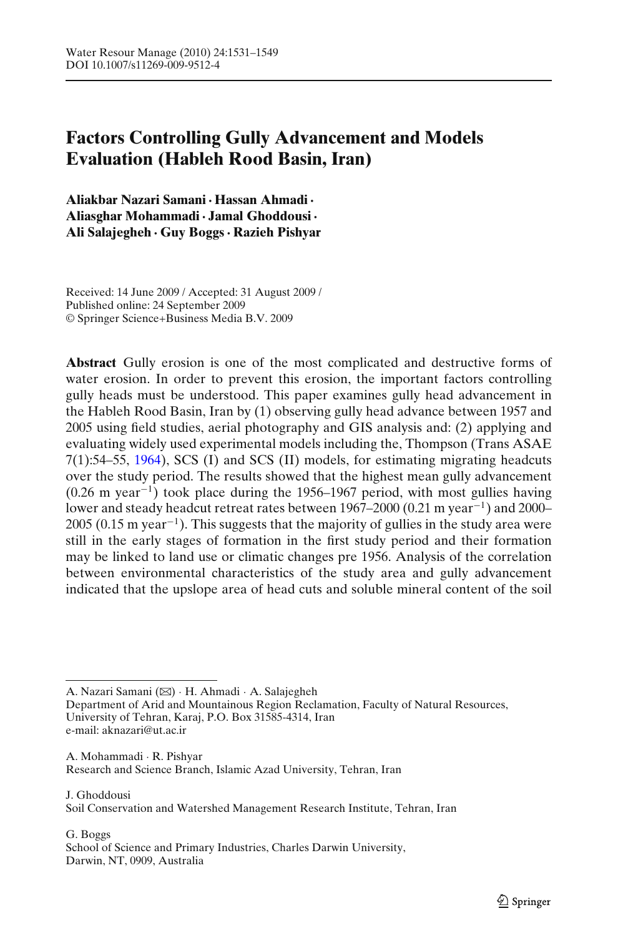# **Factors Controlling Gully Advancement and Models Evaluation (Hableh Rood Basin, Iran)**

**Aliakbar Nazari Samani· Hassan Ahmadi· Aliasghar Mohammadi· Jamal Ghoddousi· Ali Salajegheh · Guy Boggs· Razieh Pishyar**

Received: 14 June 2009 / Accepted: 31 August 2009 / Published online: 24 September 2009 © Springer Science+Business Media B.V. 2009

**Abstract** Gully erosion is one of the most complicated and destructive forms of water erosion. In order to prevent this erosion, the important factors controlling gully heads must be understood. This paper examines gully head advancement in the Hableh Rood Basin, Iran by (1) observing gully head advance between 1957 and 2005 using field studies, aerial photography and GIS analysis and: (2) applying and evaluating widely used experimental models including the, Thompson (Trans ASAE 7(1):54–55, [1964](#page-19-0)), SCS (I) and SCS (II) models, for estimating migrating headcuts over the study period. The results showed that the highest mean gully advancement (0.26 m year<sup>−</sup><sup>1</sup>) took place during the 1956–1967 period, with most gullies having lower and steady headcut retreat rates between 1967–2000 (0.21 m year<sup>−</sup><sup>1</sup>) and 2000– 2005 (0.15 m year<sup>-1</sup>). This suggests that the majority of gullies in the study area were still in the early stages of formation in the first study period and their formation may be linked to land use or climatic changes pre 1956. Analysis of the correlation between environmental characteristics of the study area and gully advancement indicated that the upslope area of head cuts and soluble mineral content of the soil

A. Nazari Samani (B) · H. Ahmadi · A. Salajegheh

Department of Arid and Mountainous Region Reclamation, Faculty of Natural Resources, University of Tehran, Karaj, P.O. Box 31585-4314, Iran e-mail: aknazari@ut.ac.ir

A. Mohammadi · R. Pishyar Research and Science Branch, Islamic Azad University, Tehran, Iran

J. Ghoddousi Soil Conservation and Watershed Management Research Institute, Tehran, Iran

G. Boggs School of Science and Primary Industries, Charles Darwin University, Darwin, NT, 0909, Australia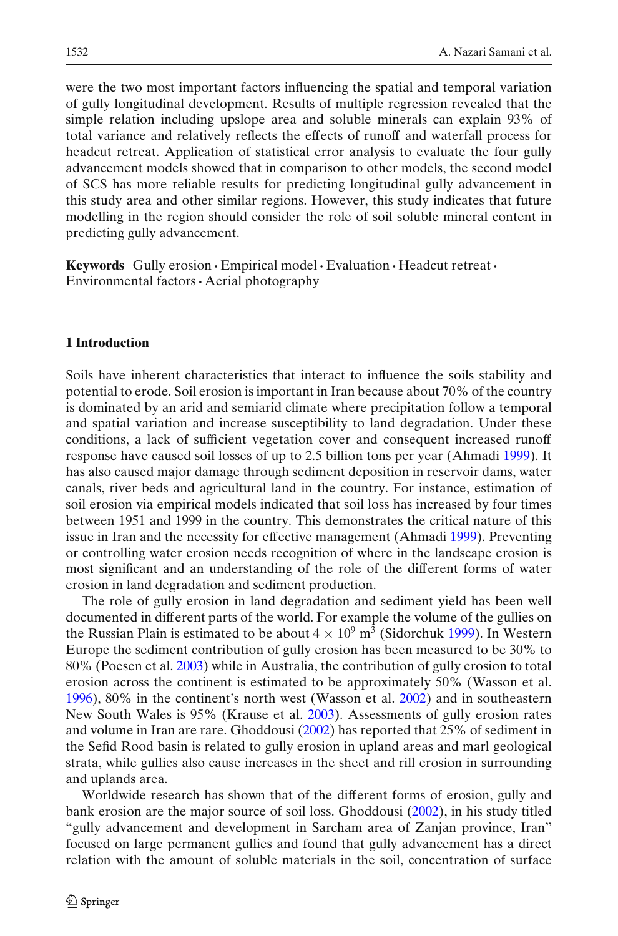were the two most important factors influencing the spatial and temporal variation of gully longitudinal development. Results of multiple regression revealed that the simple relation including upslope area and soluble minerals can explain 93% of total variance and relatively reflects the effects of runoff and waterfall process for headcut retreat. Application of statistical error analysis to evaluate the four gully advancement models showed that in comparison to other models, the second model of SCS has more reliable results for predicting longitudinal gully advancement in this study area and other similar regions. However, this study indicates that future modelling in the region should consider the role of soil soluble mineral content in predicting gully advancement.

**Keywords** Gully erosion **·** Empirical model**·** Evaluation **·** Headcut retreat**·** Environmental factors**·** Aerial photography

#### **1 Introduction**

Soils have inherent characteristics that interact to influence the soils stability and potential to erode. Soil erosion is important in Iran because about 70% of the country is dominated by an arid and semiarid climate where precipitation follow a temporal and spatial variation and increase susceptibility to land degradation. Under these conditions, a lack of sufficient vegetation cover and consequent increased runoff response have caused soil losses of up to 2.5 billion tons per year (Ahmad[i](#page-18-0) [1999](#page-18-0)). It has also caused major damage through sediment deposition in reservoir dams, water canals, river beds and agricultural land in the country. For instance, estimation of soil erosion via empirical models indicated that soil loss has increased by four times between 1951 and 1999 in the country. This demonstrates the critical nature of this issue in Iran and the necessity for effective management (Ahmad[i](#page-18-0) [1999](#page-18-0)). Preventing or controlling water erosion needs recognition of where in the landscape erosion is most significant and an understanding of the role of the different forms of water erosion in land degradation and sediment production.

The role of gully erosion in land degradation and sediment yield has been well documented in different parts of the world. For example the volume of the gullies on the Russian Plain is estimated to be about  $4 \times 10^9$  m<sup>3</sup> (Sidorchu[k](#page-19-0) [1999\)](#page-19-0). In Western Europe the sediment contribution of gully erosion has been measured to be 30% to 80% (Poesen et al[.](#page-19-0) [2003\)](#page-19-0) while in Australia, the contribution of gully erosion to total erosion across the continent is estimated to be approximately 50% (Wasson et al[.](#page-19-0) [1996\)](#page-19-0), 80% in the continent's north west (Wasson et al[.](#page-19-0) [2002](#page-19-0)) and in southeastern New South Wales is 95% (Krause et al[.](#page-19-0) [2003\)](#page-19-0). Assessments of gully erosion rates and volume in Iran are rare. Ghoddous[i](#page-18-0) [\(2002\)](#page-18-0) has reported that 25% of sediment in the Sefid Rood basin is related to gully erosion in upland areas and marl geological strata, while gullies also cause increases in the sheet and rill erosion in surrounding and uplands area.

Worldwide research has shown that of the different forms of erosion, gully and bank erosion are the major source of soil loss. Ghoddous[i](#page-18-0) [\(2002](#page-18-0)), in his study titled "gully advancement and development in Sarcham area of Zanjan province, Iran" focused on large permanent gullies and found that gully advancement has a direct relation with the amount of soluble materials in the soil, concentration of surface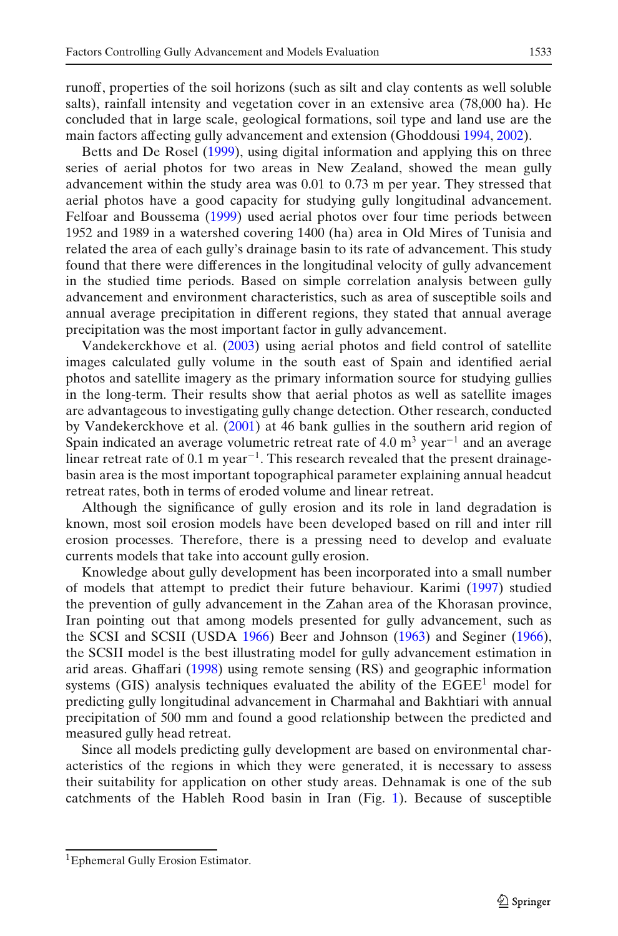runoff, properties of the soil horizons (such as silt and clay contents as well soluble salts), rainfall intensity and vegetation cover in an extensive area (78,000 ha). He concluded that in large scale, geological formations, soil type and land use are the

main factors affecting gully advancement and extension (Ghoddousi [1994,](#page-18-0) [2002](#page-18-0)). Betts and De Rose[l](#page-18-0) [\(1999\)](#page-18-0), using digital information and applying this on three series of aerial photos for two areas in New Zealand, showed the mean gully advancement within the study area was 0.01 to 0.73 m per year. They stressed that aerial photos have a good capacity for studying gully longitudinal advancement. Felfoar and Boussem[a](#page-18-0) [\(1999](#page-18-0)) used aerial photos over four time periods between 1952 and 1989 in a watershed covering 1400 (ha) area in Old Mires of Tunisia and related the area of each gully's drainage basin to its rate of advancement. This study found that there were differences in the longitudinal velocity of gully advancement in the studied time periods. Based on simple correlation analysis between gully advancement and environment characteristics, such as area of susceptible soils and annual average precipitation in different regions, they stated that annual average precipitation was the most important factor in gully advancement.

Vandekerckhove et al. [\(2003](#page-19-0)) using aerial photos and field control of satellite images calculated gully volume in the south east of Spain and identified aerial photos and satellite imagery as the primary information source for studying gullies in the long-term. Their results show that aerial photos as well as satellite images are advantageous to investigating gully change detection. Other research, conducted by Vandekerckhove et al[.](#page-19-0) [\(2001\)](#page-19-0) at 46 bank gullies in the southern arid region of Spain indicated an average volumetric retreat rate of 4.0 m<sup>3</sup> year<sup>-1</sup> and an average linear retreat rate of 0.1 m year<sup>-1</sup>. This research revealed that the present drainagebasin area is the most important topographical parameter explaining annual headcut retreat rates, both in terms of eroded volume and linear retreat.

Although the significance of gully erosion and its role in land degradation is known, most soil erosion models have been developed based on rill and inter rill erosion processes. Therefore, there is a pressing need to develop and evaluate currents models that take into account gully erosion.

Knowledge about gully development has been incorporated into a small number of models that attempt to predict their future behaviour. Karim[i](#page-19-0) [\(1997\)](#page-19-0) studied the prevention of gully advancement in the Zahan area of the Khorasan province, Iran pointing out that among models presented for gully advancement, such as the SCSI and SCSII (USD[A](#page-19-0) [1966\)](#page-19-0) Beer and Johnso[n](#page-18-0) [\(1963\)](#page-18-0) and Segine[r](#page-19-0) [\(1966\)](#page-19-0), the SCSII model is the best illustrating model for gully advancement estimation in arid areas. Ghaffar[i](#page-18-0) [\(1998\)](#page-18-0) using remote sensing (RS) and geographic information systems (GIS) analysis techniques evaluated the ability of the  $EGEE<sup>1</sup>$  model for predicting gully longitudinal advancement in Charmahal and Bakhtiari with annual precipitation of 500 mm and found a good relationship between the predicted and measured gully head retreat.

Since all models predicting gully development are based on environmental characteristics of the regions in which they were generated, it is necessary to assess their suitability for application on other study areas. Dehnamak is one of the sub catchments of the Hableh Rood basin in Iran (Fig. [1\)](#page-4-0). Because of susceptible

<sup>1</sup>Ephemeral Gully Erosion Estimator.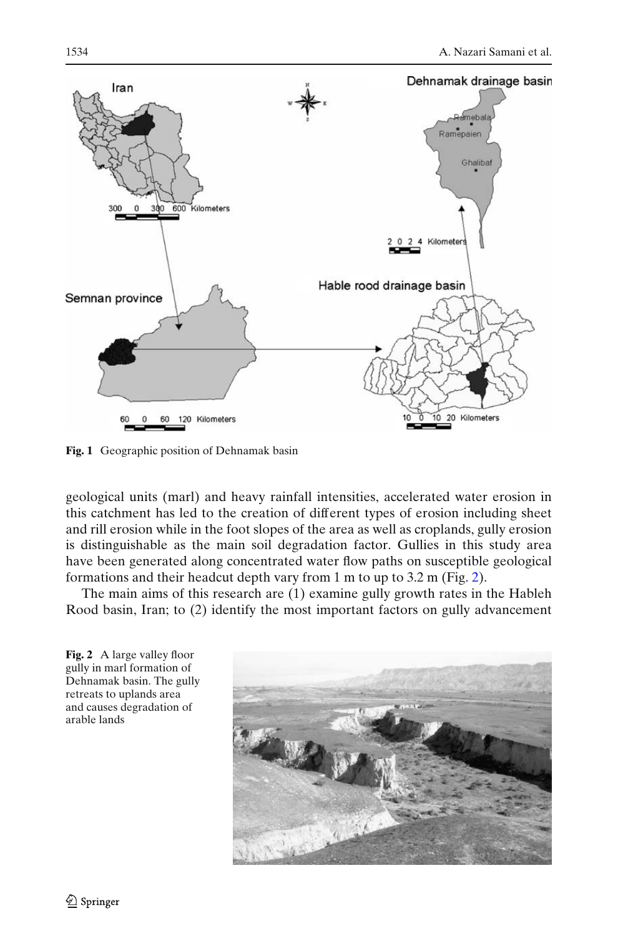<span id="page-4-0"></span>

**Fig. 1** Geographic position of Dehnamak basin

geological units (marl) and heavy rainfall intensities, accelerated water erosion in this catchment has led to the creation of different types of erosion including sheet and rill erosion while in the foot slopes of the area as well as croplands, gully erosion is distinguishable as the main soil degradation factor. Gullies in this study area have been generated along concentrated water flow paths on susceptible geological formations and their headcut depth vary from 1 m to up to 3.2 m (Fig. 2).

The main aims of this research are (1) examine gully growth rates in the Hableh Rood basin, Iran; to (2) identify the most important factors on gully advancement



2 Springer

**Fig. 2** A large valley floor gully in marl formation of

retreats to uplands area and causes degradation of

arable lands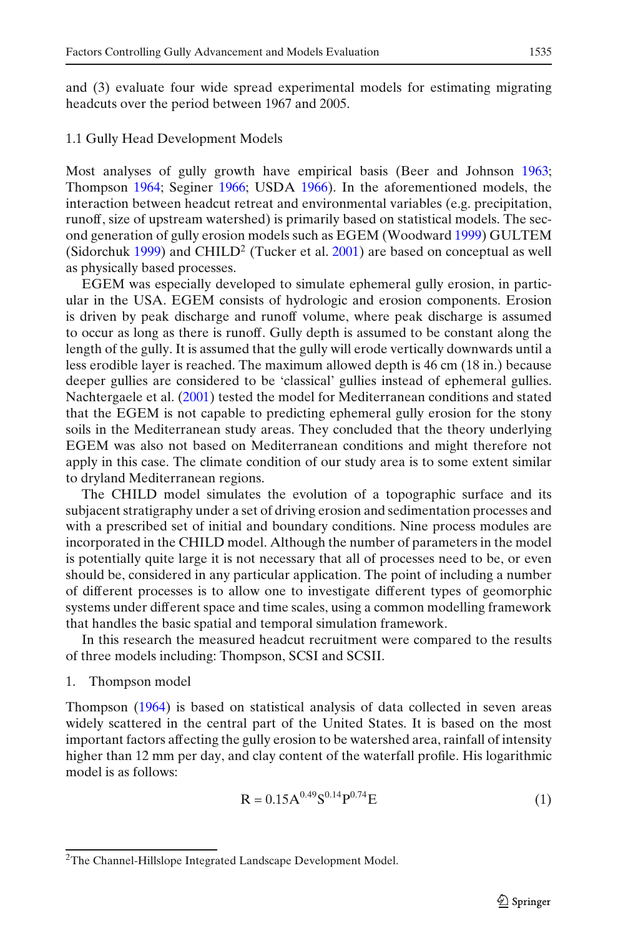<span id="page-5-0"></span>and (3) evaluate four wide spread experimental models for estimating migrating headcuts over the period between 1967 and 2005.

### 1.1 Gully Head Development Models

Most analyses of gully growth have empirical basis (Beer and Johnso[n](#page-18-0) [1963](#page-18-0); Thompso[n](#page-19-0) [1964](#page-19-0); Segine[r](#page-19-0) [1966;](#page-19-0) USD[A](#page-19-0) [1966](#page-19-0)). In the aforementioned models, the interaction between headcut retreat and environmental variables (e.g. precipitation, runoff, size of upstream watershed) is primarily based on statistical models. The second generation of gully erosion models such as EGEM (Woodwar[d](#page-19-0) [1999\)](#page-19-0) GULTEM (Sidorchu[k](#page-19-0) [1999](#page-19-0)) and CHILD<sup>2</sup> (Tucker et al[.](#page-19-0) [2001\)](#page-19-0) are based on conceptual as well as physically based processes.

EGEM was especially developed to simulate ephemeral gully erosion, in particular in the USA. EGEM consists of hydrologic and erosion components. Erosion is driven by peak discharge and runoff volume, where peak discharge is assumed to occur as long as there is runoff. Gully depth is assumed to be constant along the length of the gully. It is assumed that the gully will erode vertically downwards until a less erodible layer is reached. The maximum allowed depth is 46 cm (18 in.) because deeper gullies are considered to be 'classical' gullies instead of ephemeral gullies. Nachtergaele et al[.](#page-19-0) [\(2001](#page-19-0)) tested the model for Mediterranean conditions and stated that the EGEM is not capable to predicting ephemeral gully erosion for the stony soils in the Mediterranean study areas. They concluded that the theory underlying EGEM was also not based on Mediterranean conditions and might therefore not apply in this case. The climate condition of our study area is to some extent similar to dryland Mediterranean regions.

The CHILD model simulates the evolution of a topographic surface and its subjacent stratigraphy under a set of driving erosion and sedimentation processes and with a prescribed set of initial and boundary conditions. Nine process modules are incorporated in the CHILD model. Although the number of parameters in the model is potentially quite large it is not necessary that all of processes need to be, or even should be, considered in any particular application. The point of including a number of different processes is to allow one to investigate different types of geomorphic systems under different space and time scales, using a common modelling framework that handles the basic spatial and temporal simulation framework.

In this research the measured headcut recruitment were compared to the results of three models including: Thompson, SCSI and SCSII.

### 1. Thompson model

Thompso[n](#page-19-0) [\(1964\)](#page-19-0) is based on statistical analysis of data collected in seven areas widely scattered in the central part of the United States. It is based on the most important factors affecting the gully erosion to be watershed area, rainfall of intensity higher than 12 mm per day, and clay content of the waterfall profile. His logarithmic model is as follows:

$$
R = 0.15A^{0.49}S^{0.14}P^{0.74}E
$$
 (1)

<sup>2</sup>The Channel-Hillslope Integrated Landscape Development Model.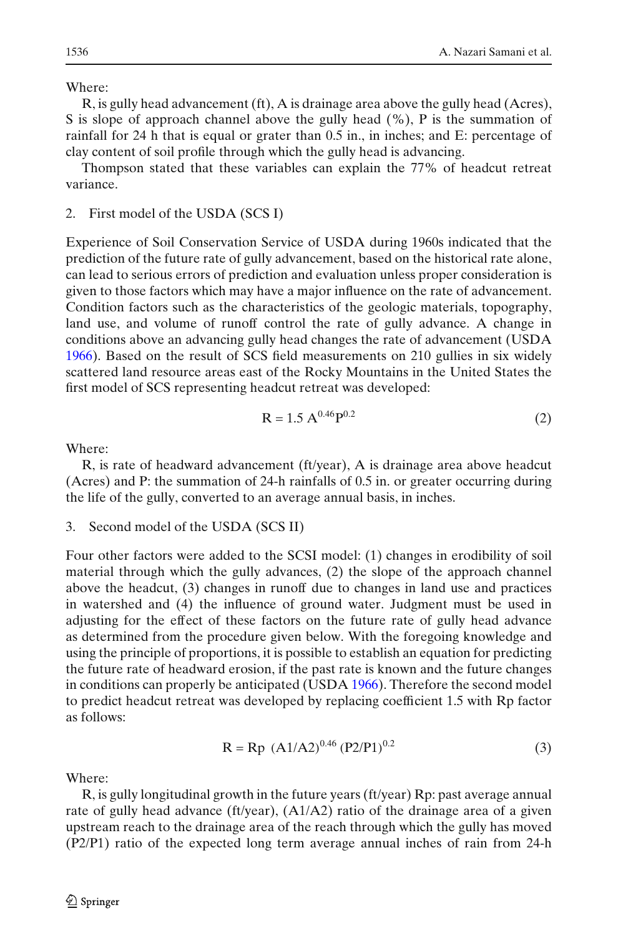Where:

R, is gully head advancement (ft), A is drainage area above the gully head (Acres), S is slope of approach channel above the gully head (%), P is the summation of rainfall for 24 h that is equal or grater than 0.5 in., in inches; and E: percentage of clay content of soil profile through which the gully head is advancing.

Thompson stated that these variables can explain the 77% of headcut retreat variance.

2. First model of the USDA (SCS I)

Experience of Soil Conservation Service of USDA during 1960s indicated that the prediction of the future rate of gully advancement, based on the historical rate alone, can lead to serious errors of prediction and evaluation unless proper consideration is given to those factors which may have a major influence on the rate of advancement. Condition factors such as the characteristics of the geologic materials, topography, land use, and volume of runoff control the rate of gully advance. A change in conditions above an advancing gully head changes the rate of advancement (USD[A](#page-19-0) [1966\)](#page-19-0). Based on the result of SCS field measurements on 210 gullies in six widely scattered land resource areas east of the Rocky Mountains in the United States the first model of SCS representing headcut retreat was developed:

$$
R = 1.5 A^{0.46} P^{0.2}
$$
 (2)

Where:

R, is rate of headward advancement (ft/year), A is drainage area above headcut (Acres) and P: the summation of 24-h rainfalls of 0.5 in. or greater occurring during the life of the gully, converted to an average annual basis, in inches.

3. Second model of the USDA (SCS II)

Four other factors were added to the SCSI model: (1) changes in erodibility of soil material through which the gully advances, (2) the slope of the approach channel above the headcut, (3) changes in runoff due to changes in land use and practices in watershed and (4) the influence of ground water. Judgment must be used in adjusting for the effect of these factors on the future rate of gully head advance as determined from the procedure given below. With the foregoing knowledge and using the principle of proportions, it is possible to establish an equation for predicting the future rate of headward erosion, if the past rate is known and the future changes in conditions can properly be anticipated (USD[A](#page-19-0) [1966](#page-19-0)). Therefore the second model to predict headcut retreat was developed by replacing coefficient 1.5 with Rp factor as follows:

$$
R = Rp (A1/A2)^{0.46} (P2/P1)^{0.2}
$$
 (3)

Where:

R, is gully longitudinal growth in the future years (ft/year) Rp: past average annual rate of gully head advance (ft/year), (A1/A2) ratio of the drainage area of a given upstream reach to the drainage area of the reach through which the gully has moved (P2/P1) ratio of the expected long term average annual inches of rain from 24-h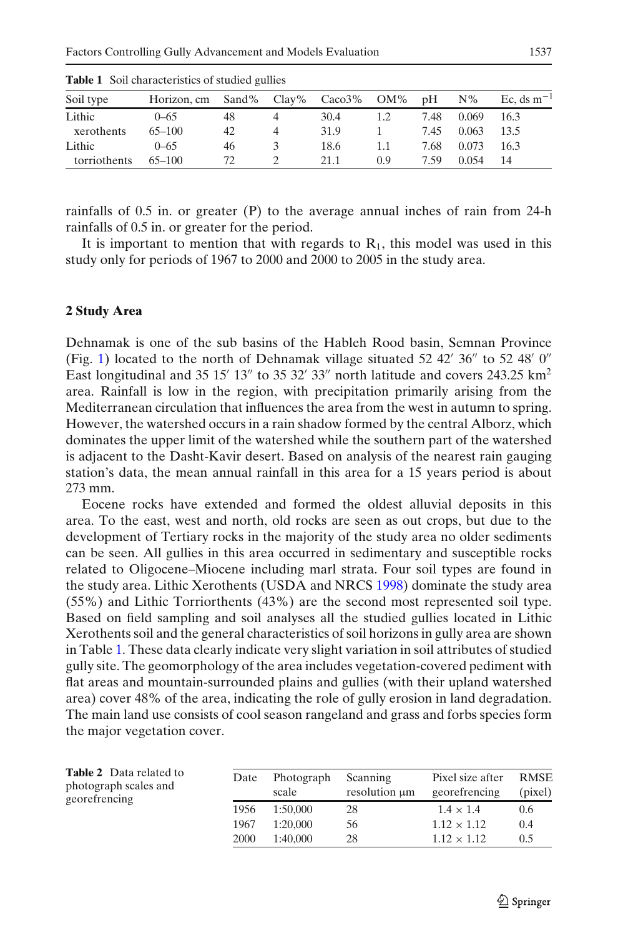| Soil type    | Horizon, cm Sand% Clay% Caco3% OM% |    |   |      |     | pH   | $N\%$ | Ec. ds $m^{-1}$ |
|--------------|------------------------------------|----|---|------|-----|------|-------|-----------------|
| Lithic       | $0 - 65$                           | 48 |   | 30.4 |     | 7.48 | 0.069 | 16.3            |
| xerothents   | $65 - 100$                         | 42 | 4 | 31.9 |     | 7.45 | 0.063 | 13.5            |
| Lithic       | $0 - 65$                           | 46 |   | 18.6 |     | 7.68 | 0.073 | 16.3            |
| torriothents | $65 - 100$                         | 72 |   | 21.1 | 0.9 | 7.59 | 0.054 | -14             |

<span id="page-7-0"></span>**Table 1** Soil characteristics of studied gullies

rainfalls of 0.5 in. or greater (P) to the average annual inches of rain from 24-h rainfalls of 0.5 in. or greater for the period.

It is important to mention that with regards to  $R_1$ , this model was used in this study only for periods of 1967 to 2000 and 2000 to 2005 in the study area.

### **2 Study Area**

Dehnamak is one of the sub basins of the Hableh Rood basin, Semnan Province (Fig. [1\)](#page-4-0) located to the north of Dehnamak village situated 52 42' 36" to 52 48' 0" East longitudinal and 35 15' 13" to 35 32' 33" north latitude and covers 243.25  $\text{km}^2$ area. Rainfall is low in the region, with precipitation primarily arising from the Mediterranean circulation that influences the area from the west in autumn to spring. However, the watershed occurs in a rain shadow formed by the central Alborz, which dominates the upper limit of the watershed while the southern part of the watershed is adjacent to the Dasht-Kavir desert. Based on analysis of the nearest rain gauging station's data, the mean annual rainfall in this area for a 15 years period is about 273 mm.

Eocene rocks have extended and formed the oldest alluvial deposits in this area. To the east, west and north, old rocks are seen as out crops, but due to the development of Tertiary rocks in the majority of the study area no older sediments can be seen. All gullies in this area occurred in sedimentary and susceptible rocks related to Oligocene–Miocene including marl strata. Four soil types are found in the study area. Lithic Xerothents (USDA and NRC[S](#page-19-0) [1998\)](#page-19-0) dominate the study area (55%) and Lithic Torriorthents (43%) are the second most represented soil type. Based on field sampling and soil analyses all the studied gullies located in Lithic Xerothents soil and the general characteristics of soil horizons in gully area are shown in Table 1. These data clearly indicate very slight variation in soil attributes of studied gully site. The geomorphology of the area includes vegetation-covered pediment with flat areas and mountain-surrounded plains and gullies (with their upland watershed area) cover 48% of the area, indicating the role of gully erosion in land degradation. The main land use consists of cool season rangeland and grass and forbs species form the major vegetation cover.

| <b>Table 2</b> Data related to<br>photograph scales and<br>georefrencing | Date | Photograph<br>scale | Scanning<br>resolution um | Pixel size after<br>georefrencing | RMSE<br>(pixel) |
|--------------------------------------------------------------------------|------|---------------------|---------------------------|-----------------------------------|-----------------|
|                                                                          | 1956 | 1:50.000            | 28                        | $1.4 \times 1.4$                  | 0.6             |
|                                                                          | 1967 | 1:20,000            | 56                        | $1.12 \times 1.12$                | 0.4             |
|                                                                          | 2000 | 1:40,000            | 28                        | $1.12 \times 1.12$                | 0.5             |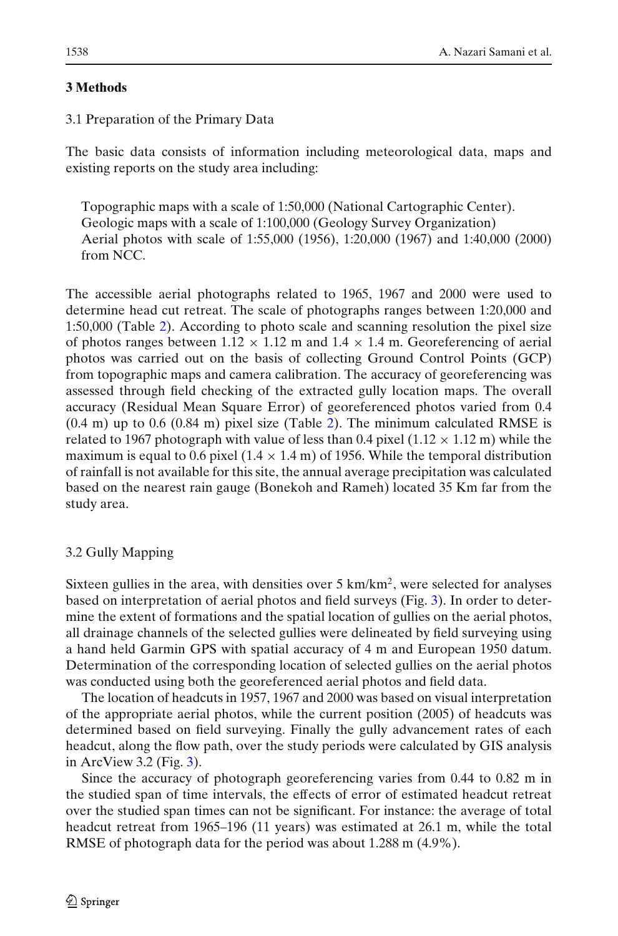### **3 Methods**

# 3.1 Preparation of the Primary Data

The basic data consists of information including meteorological data, maps and existing reports on the study area including:

Topographic maps with a scale of 1:50,000 (National Cartographic Center). Geologic maps with a scale of 1:100,000 (Geology Survey Organization) Aerial photos with scale of 1:55,000 (1956), 1:20,000 (1967) and 1:40,000 (2000) from NCC.

The accessible aerial photographs related to 1965, 1967 and 2000 were used to determine head cut retreat. The scale of photographs ranges between 1:20,000 and 1:50,000 (Table [2\)](#page-7-0). According to photo scale and scanning resolution the pixel size of photos ranges between  $1.12 \times 1.12$  m and  $1.4 \times 1.4$  m. Georeferencing of aerial photos was carried out on the basis of collecting Ground Control Points (GCP) from topographic maps and camera calibration. The accuracy of georeferencing was assessed through field checking of the extracted gully location maps. The overall accuracy (Residual Mean Square Error) of georeferenced photos varied from 0.4  $(0.4 \text{ m})$  up to 0.6  $(0.84 \text{ m})$  pixel size (Table [2\)](#page-7-0). The minimum calculated RMSE is related to 1967 photograph with value of less than 0.4 pixel (1.12  $\times$  1.12 m) while the maximum is equal to 0.6 pixel  $(1.4 \times 1.4 \text{ m})$  of 1956. While the temporal distribution of rainfall is not available for this site, the annual average precipitation was calculated based on the nearest rain gauge (Bonekoh and Rameh) located 35 Km far from the study area.

## 3.2 Gully Mapping

Sixteen gullies in the area, with densities over  $5 \text{ km/km}^2$ , were selected for analyses based on interpretation of aerial photos and field surveys (Fig. [3\)](#page-9-0). In order to determine the extent of formations and the spatial location of gullies on the aerial photos, all drainage channels of the selected gullies were delineated by field surveying using a hand held Garmin GPS with spatial accuracy of 4 m and European 1950 datum. Determination of the corresponding location of selected gullies on the aerial photos was conducted using both the georeferenced aerial photos and field data.

The location of headcuts in 1957, 1967 and 2000 was based on visual interpretation of the appropriate aerial photos, while the current position (2005) of headcuts was determined based on field surveying. Finally the gully advancement rates of each headcut, along the flow path, over the study periods were calculated by GIS analysis in ArcView 3.2 (Fig. [3\)](#page-9-0).

Since the accuracy of photograph georeferencing varies from 0.44 to 0.82 m in the studied span of time intervals, the effects of error of estimated headcut retreat over the studied span times can not be significant. For instance: the average of total headcut retreat from 1965–196 (11 years) was estimated at 26.1 m, while the total RMSE of photograph data for the period was about 1.288 m (4.9%).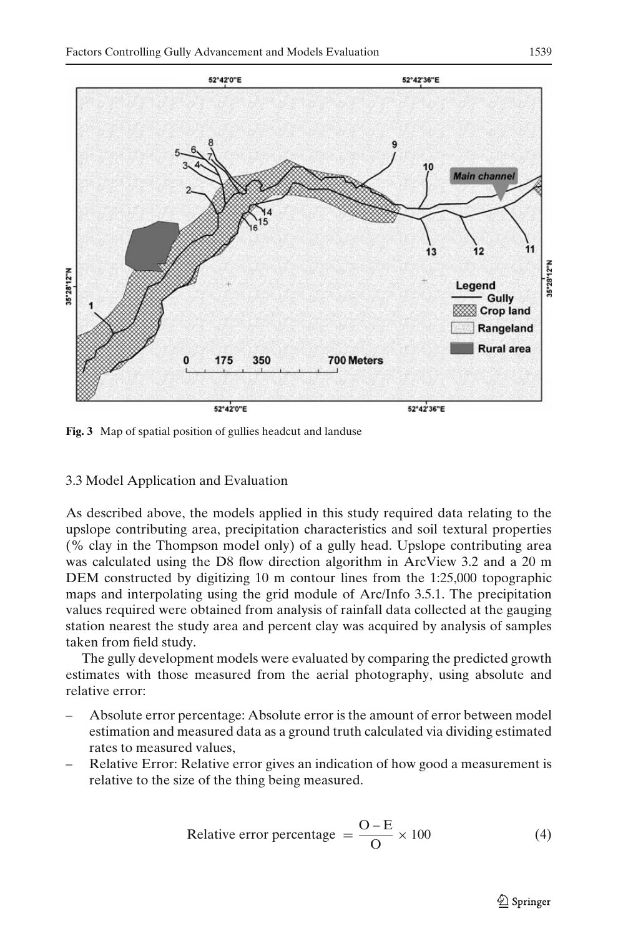<span id="page-9-0"></span>

**Fig. 3** Map of spatial position of gullies headcut and landuse

### 3.3 Model Application and Evaluation

As described above, the models applied in this study required data relating to the upslope contributing area, precipitation characteristics and soil textural properties (% clay in the Thompson model only) of a gully head. Upslope contributing area was calculated using the D8 flow direction algorithm in ArcView 3.2 and a 20 m DEM constructed by digitizing 10 m contour lines from the 1:25,000 topographic maps and interpolating using the grid module of Arc/Info 3.5.1. The precipitation values required were obtained from analysis of rainfall data collected at the gauging station nearest the study area and percent clay was acquired by analysis of samples taken from field study.

The gully development models were evaluated by comparing the predicted growth estimates with those measured from the aerial photography, using absolute and relative error:

- Absolute error percentage: Absolute error is the amount of error between model estimation and measured data as a ground truth calculated via dividing estimated rates to measured values,
- Relative Error: Relative error gives an indication of how good a measurement is relative to the size of the thing being measured.

Relative error percentage 
$$
=\frac{O-E}{O} \times 100
$$
 (4)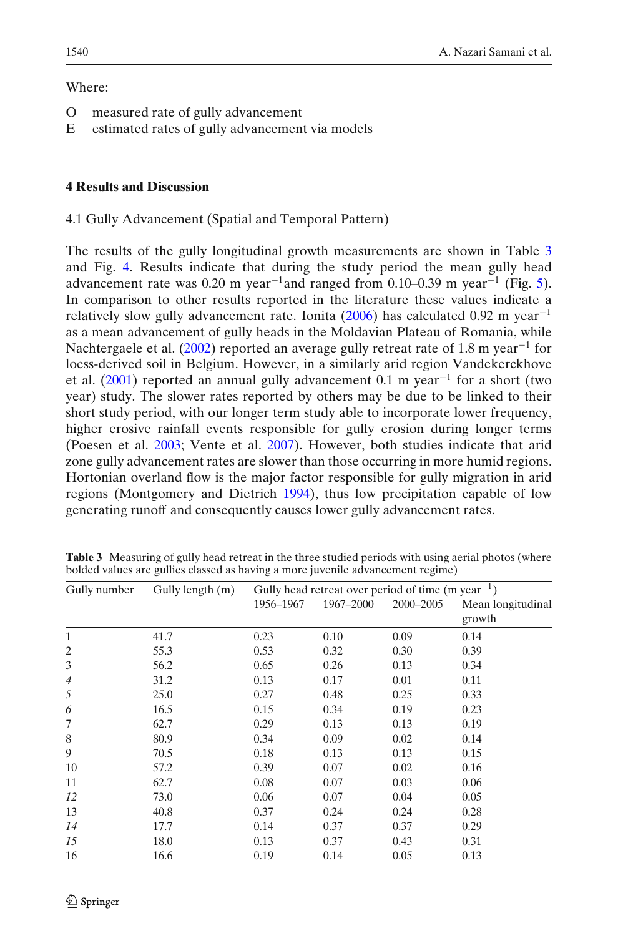### Where:

- O measured rate of gully advancement
- E estimated rates of gully advancement via models

## **4 Results and Discussion**

### 4.1 Gully Advancement (Spatial and Temporal Pattern)

The results of the gully longitudinal growth measurements are shown in Table 3 and Fig. [4.](#page-11-0) Results indicate that during the study period the mean gully head advancement rate was 0.20 m year<sup>-1</sup>and ranged from 0.10–0.39 m year<sup>-1</sup> (Fig. [5\)](#page-11-0). In comparison to other results reported in the literature these values indicate a rel[a](#page-18-0)tively slow gully advancement rate. Ionita [\(2006](#page-18-0)) has calculated 0.92 m year<sup>-1</sup> as a mean advancement of gully heads in the Moldavian Plateau of Romania, while Nachtergaele et al[.](#page-19-0) [\(2002\)](#page-19-0) reported an average gully retreat rate of 1.8 m year<sup>-1</sup> for loess-derived soil in Belgium. However, in a similarly arid region Vandekerckhove et al[.](#page-19-0) [\(2001](#page-19-0)) reported an annual gully advancement 0.1 m year<sup>−</sup><sup>1</sup> for a short (two year) study. The slower rates reported by others may be due to be linked to their short study period, with our longer term study able to incorporate lower frequency, higher erosive rainfall events responsible for gully erosion during longer terms (Poesen et al[.](#page-19-0) [2003;](#page-19-0) Vente et al[.](#page-19-0) [2007](#page-19-0)). However, both studies indicate that arid zone gully advancement rates are slower than those occurring in more humid regions. Hortonian overland flow is the major factor responsible for gully migration in arid regions (Montgomery and Dietric[h](#page-19-0) [1994](#page-19-0)), thus low precipitation capable of low generating runoff and consequently causes lower gully advancement rates.

| Gully number   | Gully length (m) | Gully head retreat over period of time $(m \text{ year}^{-1})$ |           |           |                   |  |
|----------------|------------------|----------------------------------------------------------------|-----------|-----------|-------------------|--|
|                |                  | 1956-1967                                                      | 1967-2000 | 2000-2005 | Mean longitudinal |  |
|                |                  |                                                                |           |           | growth            |  |
| $\mathbf{1}$   | 41.7             | 0.23                                                           | 0.10      | 0.09      | 0.14              |  |
| 2              | 55.3             | 0.53                                                           | 0.32      | 0.30      | 0.39              |  |
| 3              | 56.2             | 0.65                                                           | 0.26      | 0.13      | 0.34              |  |
| $\overline{4}$ | 31.2             | 0.13                                                           | 0.17      | 0.01      | 0.11              |  |
| 5              | 25.0             | 0.27                                                           | 0.48      | 0.25      | 0.33              |  |
| 6              | 16.5             | 0.15                                                           | 0.34      | 0.19      | 0.23              |  |
| 7              | 62.7             | 0.29                                                           | 0.13      | 0.13      | 0.19              |  |
| 8              | 80.9             | 0.34                                                           | 0.09      | 0.02      | 0.14              |  |
| 9              | 70.5             | 0.18                                                           | 0.13      | 0.13      | 0.15              |  |
| 10             | 57.2             | 0.39                                                           | 0.07      | 0.02      | 0.16              |  |
| 11             | 62.7             | 0.08                                                           | 0.07      | 0.03      | 0.06              |  |
| 12             | 73.0             | 0.06                                                           | 0.07      | 0.04      | 0.05              |  |
| 13             | 40.8             | 0.37                                                           | 0.24      | 0.24      | 0.28              |  |
| 14             | 17.7             | 0.14                                                           | 0.37      | 0.37      | 0.29              |  |
| 15             | 18.0             | 0.13                                                           | 0.37      | 0.43      | 0.31              |  |
| 16             | 16.6             | 0.19                                                           | 0.14      | 0.05      | 0.13              |  |

**Table 3** Measuring of gully head retreat in the three studied periods with using aerial photos (where bolded values are gullies classed as having a more juvenile advancement regime)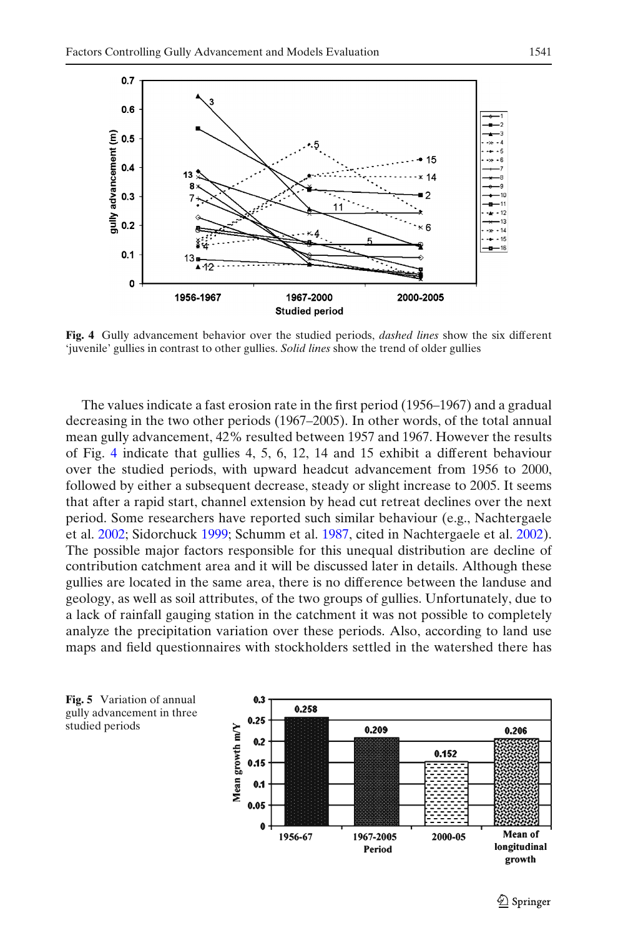<span id="page-11-0"></span>

**Fig. 4** Gully advancement behavior over the studied periods, *dashed lines* show the six different 'juvenile' gullies in contrast to other gullies. *Solid lines* show the trend of older gullies

The values indicate a fast erosion rate in the first period (1956–1967) and a gradual decreasing in the two other periods (1967–2005). In other words, of the total annual mean gully advancement, 42% resulted between 1957 and 1967. However the results of Fig. 4 indicate that gullies 4, 5, 6, 12, 14 and 15 exhibit a different behaviour over the studied periods, with upward headcut advancement from 1956 to 2000, followed by either a subsequent decrease, steady or slight increase to 2005. It seems that after a rapid start, channel extension by head cut retreat declines over the next period. Some researchers have reported such similar behaviour (e.g., Nachtergaele et al. [2002;](#page-19-0) Sidorchuck [1999](#page-19-0); Schumm et al. [1987](#page-19-0), cited in Nachtergaele et al. [2002\)](#page-19-0). The possible major factors responsible for this unequal distribution are decline of contribution catchment area and it will be discussed later in details. Although these gullies are located in the same area, there is no difference between the landuse and geology, as well as soil attributes, of the two groups of gullies. Unfortunately, due to a lack of rainfall gauging station in the catchment it was not possible to completely analyze the precipitation variation over these periods. Also, according to land use maps and field questionnaires with stockholders settled in the watershed there has



**Fig. 5** Variation of annual gully advancement in three studied periods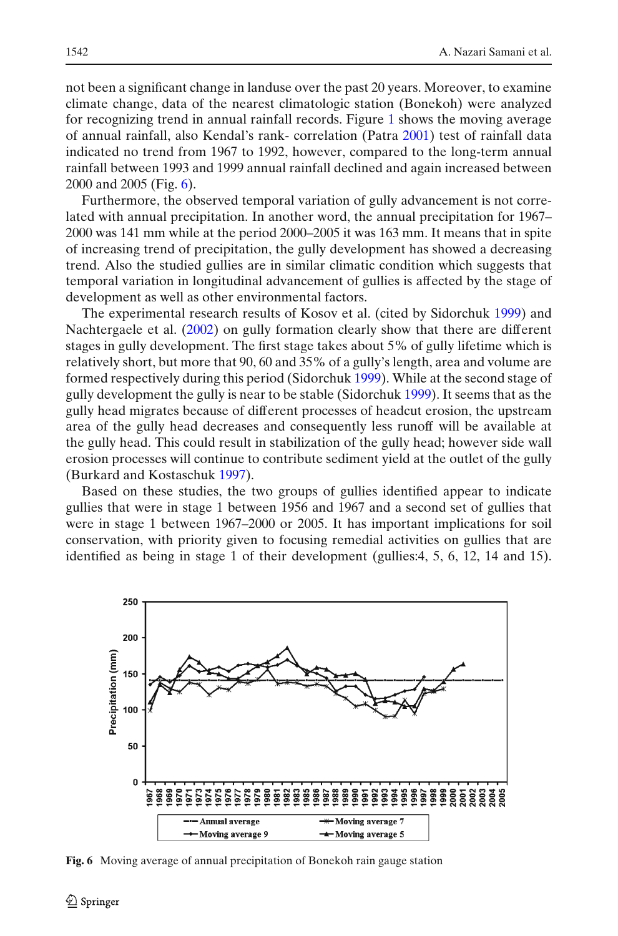not been a significant change in landuse over the past 20 years. Moreover, to examine climate change, data of the nearest climatologic station (Bonekoh) were analyzed for recognizing trend in annual rainfall records. Figure [1](#page-4-0) shows the moving average of annual rainfall, also Kendal's rank- correlation (Patr[a](#page-19-0) [2001\)](#page-19-0) test of rainfall data indicated no trend from 1967 to 1992, however, compared to the long-term annual rainfall between 1993 and 1999 annual rainfall declined and again increased between 2000 and 2005 (Fig. 6).

Furthermore, the observed temporal variation of gully advancement is not correlated with annual precipitation. In another word, the annual precipitation for 1967– 2000 was 141 mm while at the period 2000–2005 it was 163 mm. It means that in spite of increasing trend of precipitation, the gully development has showed a decreasing trend. Also the studied gullies are in similar climatic condition which suggests that temporal variation in longitudinal advancement of gullies is affected by the stage of development as well as other environmental factors.

The experimental research results of Kosov et al. (cited by Sidorchuk [1999\)](#page-19-0) and Nachtergaele et al[.](#page-19-0) [\(2002\)](#page-19-0) on gully formation clearly show that there are different stages in gully development. The first stage takes about 5% of gully lifetime which is relatively short, but more that 90, 60 and 35% of a gully's length, area and volume are formed respectively during this period (Sidorchu[k](#page-19-0) [1999](#page-19-0)). While at the second stage of gully development the gully is near to be stable (Sidorchu[k](#page-19-0) [1999\)](#page-19-0). It seems that as the gully head migrates because of different processes of headcut erosion, the upstream area of the gully head decreases and consequently less runoff will be available at the gully head. This could result in stabilization of the gully head; however side wall erosion processes will continue to contribute sediment yield at the outlet of the gully (Burkard and Kostaschu[k](#page-18-0) [1997\)](#page-18-0).

Based on these studies, the two groups of gullies identified appear to indicate gullies that were in stage 1 between 1956 and 1967 and a second set of gullies that were in stage 1 between 1967–2000 or 2005. It has important implications for soil conservation, with priority given to focusing remedial activities on gullies that are identified as being in stage 1 of their development (gullies:4, 5, 6, 12, 14 and 15).



**Fig. 6** Moving average of annual precipitation of Bonekoh rain gauge station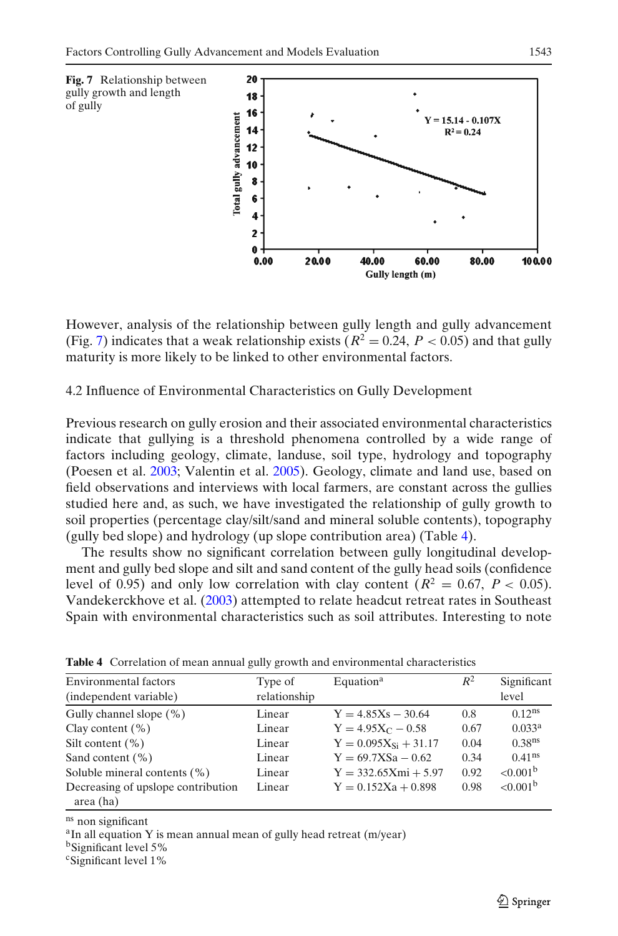<span id="page-13-0"></span>

However, analysis of the relationship between gully length and gully advancement (Fig. 7) indicates that a weak relationship exists ( $R^2 = 0.24$ ,  $P < 0.05$ ) and that gully maturity is more likely to be linked to other environmental factors.

### 4.2 Influence of Environmental Characteristics on Gully Development

Previous research on gully erosion and their associated environmental characteristics indicate that gullying is a threshold phenomena controlled by a wide range of factors including geology, climate, landuse, soil type, hydrology and topography (Poesen et al[.](#page-19-0) [2003](#page-19-0); Valentin et al[.](#page-19-0) [2005](#page-19-0)). Geology, climate and land use, based on field observations and interviews with local farmers, are constant across the gullies studied here and, as such, we have investigated the relationship of gully growth to soil properties (percentage clay/silt/sand and mineral soluble contents), topography (gully bed slope) and hydrology (up slope contribution area) (Table 4).

The results show no significant correlation between gully longitudinal development and gully bed slope and silt and sand content of the gully head soils (confidence level of 0.95) and only low correlation with clay content ( $R^2 = 0.67$ ,  $P < 0.05$ ). Vandekerckhove et al[.](#page-19-0) [\(2003](#page-19-0)) attempted to relate headcut retreat rates in Southeast Spain with environmental characteristics such as soil attributes. Interesting to note

| <b>Environmental factors</b><br>(independent variable) | Type of<br>relationship | Equation <sup>a</sup>     | $R^2$ | Significant<br>level |
|--------------------------------------------------------|-------------------------|---------------------------|-------|----------------------|
| Gully channel slope (%)                                | Linear                  | $Y = 4.85Xs - 30.64$      | 0.8   | $0.12^{ns}$          |
| Clay content $(\% )$                                   | Linear                  | $Y = 4.95X_C - 0.58$      | 0.67  | 0.033 <sup>a</sup>   |
| Silt content $(\% )$                                   | Linear                  | $Y = 0.095X_{Si} + 31.17$ | 0.04  | 0.38 <sup>ns</sup>   |
| Sand content $(\% )$                                   | Linear                  | $Y = 69.7X$ Sa - 0.62     | 0.34  | $0.41^{ns}$          |
| Soluble mineral contents $(\% )$                       | Linear                  | $Y = 332.65Xmi + 5.97$    | 0.92  | $< 0.001^b$          |
| Decreasing of upslope contribution<br>area (ha)        | Linear                  | $Y = 0.152Xa + 0.898$     | 0.98  | $< 0.001^b$          |

**Table 4** Correlation of mean annual gully growth and environmental characteristics

<sup>ns</sup> non significant<br><sup>a</sup>In all equation Y is mean annual mean of gully head retreat (m/year)

bSignificant level 5%

cSignificant level 1%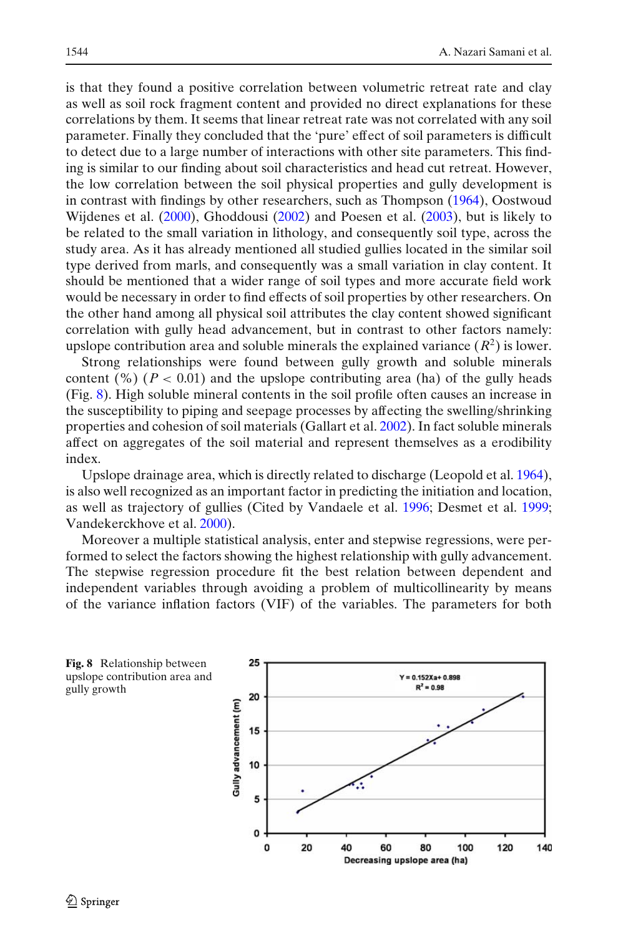is that they found a positive correlation between volumetric retreat rate and clay as well as soil rock fragment content and provided no direct explanations for these correlations by them. It seems that linear retreat rate was not correlated with any soil parameter. Finally they concluded that the 'pure' effect of soil parameters is difficult to detect due to a large number of interactions with other site parameters. This finding is similar to our finding about soil characteristics and head cut retreat. However, the low correlation between the soil physical properties and gully development is in contrast with findings by other researchers, such as Thompso[n](#page-19-0) [\(1964](#page-19-0)), Oostwoud Wijdenes et al[.](#page-19-0) [\(2000\)](#page-19-0), Ghoddous[i](#page-18-0) [\(2002\)](#page-18-0) and Poesen et al[.](#page-19-0) [\(2003](#page-19-0)), but is likely to be related to the small variation in lithology, and consequently soil type, across the study area. As it has already mentioned all studied gullies located in the similar soil type derived from marls, and consequently was a small variation in clay content. It should be mentioned that a wider range of soil types and more accurate field work would be necessary in order to find effects of soil properties by other researchers. On the other hand among all physical soil attributes the clay content showed significant correlation with gully head advancement, but in contrast to other factors namely: upslope contribution area and soluble minerals the explained variance  $(R^2)$  is lower.

Strong relationships were found between gully growth and soluble minerals content  $(\%)(P < 0.01)$  and the upslope contributing area (ha) of the gully heads (Fig. 8). High soluble mineral contents in the soil profile often causes an increase in the susceptibility to piping and seepage processes by affecting the swelling/shrinking properties and cohesion of soil materials (Gallart et al[.](#page-18-0) [2002](#page-18-0)). In fact soluble minerals affect on aggregates of the soil material and represent themselves as a erodibility index.

Upslope drainage area, which is directly related to discharge (Leopold et al[.](#page-19-0) [1964\)](#page-19-0), is also well recognized as an important factor in predicting the initiation and location, as well as trajectory of gullies (Cited by Vandaele et al[.](#page-19-0) [1996](#page-19-0); Desmet et al[.](#page-18-0) [1999](#page-18-0); Vandekerckhove et al[.](#page-19-0) [2000](#page-19-0)).

Moreover a multiple statistical analysis, enter and stepwise regressions, were performed to select the factors showing the highest relationship with gully advancement. The stepwise regression procedure fit the best relation between dependent and independent variables through avoiding a problem of multicollinearity by means of the variance inflation factors (VIF) of the variables. The parameters for both

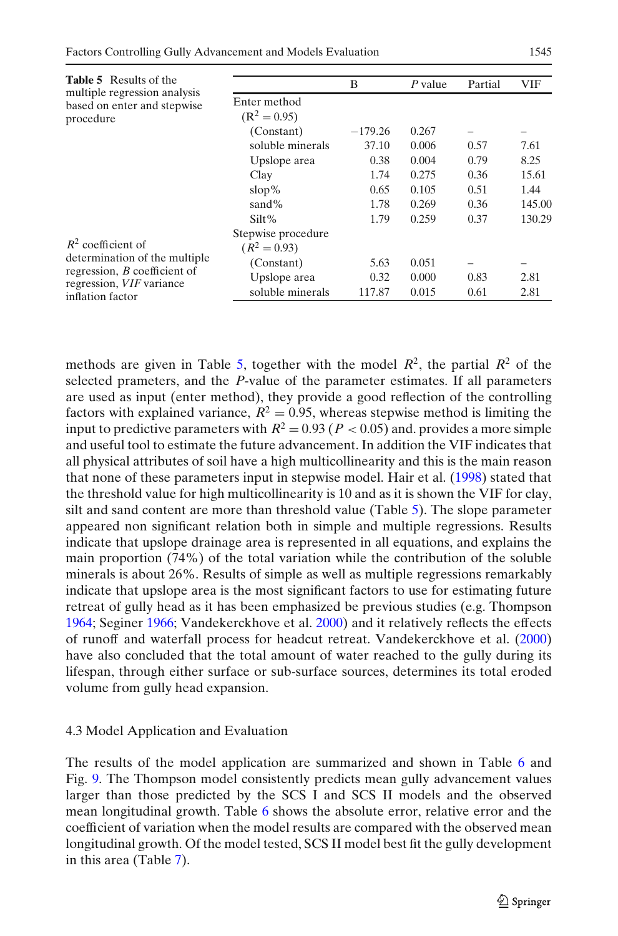| <b>Table 5</b> Results of the<br>multiple regression analysis        |                    | B         | $P$ value | Partial | <b>VIF</b>               |
|----------------------------------------------------------------------|--------------------|-----------|-----------|---------|--------------------------|
| based on enter and stepwise<br>procedure                             | Enter method       |           |           |         |                          |
|                                                                      | $(R^2 = 0.95)$     |           |           |         |                          |
|                                                                      | (Constant)         | $-179.26$ | 0.267     |         |                          |
|                                                                      | soluble minerals   | 37.10     | 0.006     | 0.57    | 7.61                     |
|                                                                      | Upslope area       | 0.38      | 0.004     | 0.79    | 8.25                     |
|                                                                      | Clay               | 1.74      | 0.275     | 0.36    | 15.61                    |
|                                                                      | $\text{slop}\%$    | 0.65      | 0.105     | 0.51    | 1.44                     |
|                                                                      | sand%              | 1.78      | 0.269     | 0.36    | 145.00                   |
|                                                                      | Silt%              | 1.79      | 0.259     | 0.37    | 130.29                   |
|                                                                      | Stepwise procedure |           |           |         |                          |
| $R^2$ coefficient of                                                 | $(R^2 = 0.93)$     |           |           |         |                          |
| determination of the multiple<br>regression, <i>B</i> coefficient of | (Constant)         | 5.63      | 0.051     |         | $\overline{\phantom{0}}$ |
|                                                                      | Upslope area       | 0.32      | 0.000     | 0.83    | 2.81                     |
| regression, VIF variance<br>inflation factor                         | soluble minerals   | 117.87    | 0.015     | 0.61    | 2.81                     |
|                                                                      |                    |           |           |         |                          |

methods are given in Table 5, together with the model  $R^2$ , the partial  $R^2$  of the selected prameters, and the *P*-value of the parameter estimates. If all parameters are used as input (enter method), they provide a good reflection of the controlling factors with explained variance,  $R^2 = 0.95$ , whereas stepwise method is limiting the input to predictive parameters with  $R^2 = 0.93$  ( $P < 0.05$ ) and. provides a more simple and useful tool to estimate the future advancement. In addition the VIF indicates that all physical attributes of soil have a high multicollinearity and this is the main reason that none of these parameters input in stepwise model. Hair et al. [\(1998\)](#page-18-0) stated that the threshold value for high multicollinearity is 10 and as it is shown the VIF for clay, silt and sand content are more than threshold value (Table 5). The slope parameter appeared non significant relation both in simple and multiple regressions. Results indicate that upslope drainage area is represented in all equations, and explains the main proportion (74%) of the total variation while the contribution of the soluble minerals is about 26%. Results of simple as well as multiple regressions remarkably indicate that upslope area is the most significant factors to use for estimating future retreat of gully head as it has been emphasized be previous studies (e.g. Thompso[n](#page-19-0) [1964;](#page-19-0) Segine[r](#page-19-0) [1966;](#page-19-0) Vandekerckhove et al[.](#page-19-0) [2000\)](#page-19-0) and it relatively reflects the effects of runoff and waterfall process for headcut retreat. Vandekerckhove et al[.](#page-19-0) [\(2000\)](#page-19-0) have also concluded that the total amount of water reached to the gully during its lifespan, through either surface or sub-surface sources, determines its total eroded volume from gully head expansion.

### 4.3 Model Application and Evaluation

The results of the model application are summarized and shown in Table [6](#page-16-0) and Fig. [9.](#page-16-0) The Thompson model consistently predicts mean gully advancement values larger than those predicted by the SCS I and SCS II models and the observed mean longitudinal growth. Table [6](#page-16-0) shows the absolute error, relative error and the coefficient of variation when the model results are compared with the observed mean longitudinal growth. Of the model tested, SCS II model best fit the gully development in this area (Table [7\)](#page-17-0).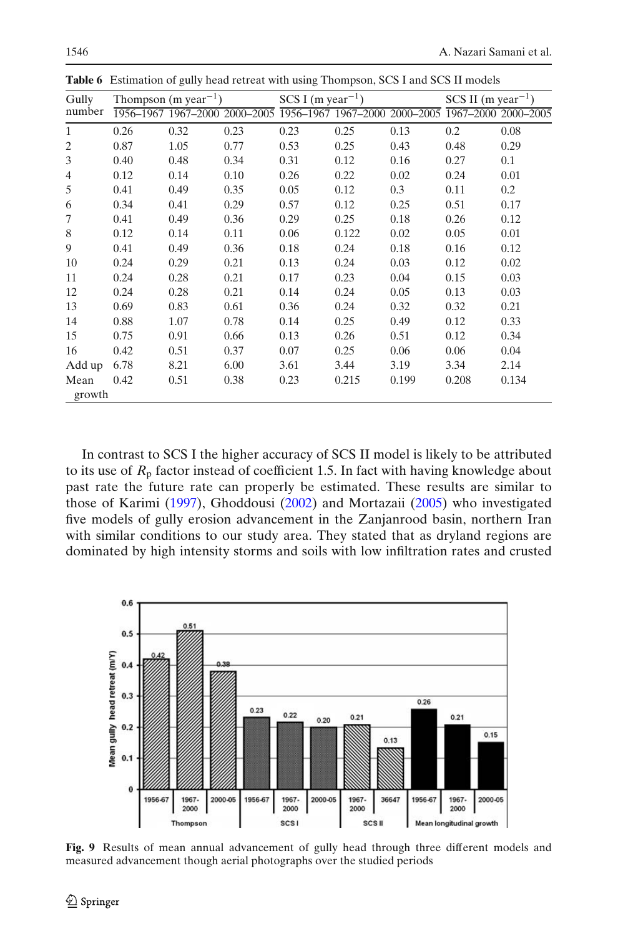| Gully          |      |      |      | Thompson (m year <sup>-1</sup> ) SCS I (m year <sup>-1</sup> ) |                                                                                 |       | $SCS II$ (m year <sup>-1</sup> ) |         |
|----------------|------|------|------|----------------------------------------------------------------|---------------------------------------------------------------------------------|-------|----------------------------------|---------|
| number         |      |      |      |                                                                | 1956-1967 1967-2000 2000-2005 1956-1967 1967-2000 2000-2005 1967-2000 2000-2005 |       |                                  |         |
| $\mathbf{1}$   | 0.26 | 0.32 | 0.23 | 0.23                                                           | 0.25                                                                            | 0.13  | 0.2                              | 0.08    |
| 2              | 0.87 | 1.05 | 0.77 | 0.53                                                           | 0.25                                                                            | 0.43  | 0.48                             | 0.29    |
| 3              | 0.40 | 0.48 | 0.34 | 0.31                                                           | 0.12                                                                            | 0.16  | 0.27                             | 0.1     |
| $\overline{4}$ | 0.12 | 0.14 | 0.10 | 0.26                                                           | 0.22                                                                            | 0.02  | 0.24                             | 0.01    |
| 5              | 0.41 | 0.49 | 0.35 | 0.05                                                           | 0.12                                                                            | 0.3   | 0.11                             | $0.2\,$ |
| 6              | 0.34 | 0.41 | 0.29 | 0.57                                                           | 0.12                                                                            | 0.25  | 0.51                             | 0.17    |
| 7              | 0.41 | 0.49 | 0.36 | 0.29                                                           | 0.25                                                                            | 0.18  | 0.26                             | 0.12    |
| 8              | 0.12 | 0.14 | 0.11 | 0.06                                                           | 0.122                                                                           | 0.02  | 0.05                             | 0.01    |
| 9              | 0.41 | 0.49 | 0.36 | 0.18                                                           | 0.24                                                                            | 0.18  | 0.16                             | 0.12    |
| 10             | 0.24 | 0.29 | 0.21 | 0.13                                                           | 0.24                                                                            | 0.03  | 0.12                             | 0.02    |
| 11             | 0.24 | 0.28 | 0.21 | 0.17                                                           | 0.23                                                                            | 0.04  | 0.15                             | 0.03    |
| 12             | 0.24 | 0.28 | 0.21 | 0.14                                                           | 0.24                                                                            | 0.05  | 0.13                             | 0.03    |
| 13             | 0.69 | 0.83 | 0.61 | 0.36                                                           | 0.24                                                                            | 0.32  | 0.32                             | 0.21    |
| 14             | 0.88 | 1.07 | 0.78 | 0.14                                                           | 0.25                                                                            | 0.49  | 0.12                             | 0.33    |
| 15             | 0.75 | 0.91 | 0.66 | 0.13                                                           | 0.26                                                                            | 0.51  | 0.12                             | 0.34    |
| 16             | 0.42 | 0.51 | 0.37 | 0.07                                                           | 0.25                                                                            | 0.06  | 0.06                             | 0.04    |
| Add up         | 6.78 | 8.21 | 6.00 | 3.61                                                           | 3.44                                                                            | 3.19  | 3.34                             | 2.14    |
| Mean<br>growth | 0.42 | 0.51 | 0.38 | 0.23                                                           | 0.215                                                                           | 0.199 | 0.208                            | 0.134   |

<span id="page-16-0"></span>**Table 6** Estimation of gully head retreat with using Thompson, SCS I and SCS II models

In contrast to SCS I the higher accuracy of SCS II model is likely to be attributed to its use of  $R_p$  factor instead of coefficient 1.5. In fact with having knowledge about past rate the future rate can properly be estimated. These results are similar to those of Karim[i](#page-19-0) [\(1997\)](#page-19-0), Ghoddous[i](#page-18-0) [\(2002\)](#page-18-0) and Mortazai[i](#page-19-0) [\(2005\)](#page-19-0) who investigated five models of gully erosion advancement in the Zanjanrood basin, northern Iran with similar conditions to our study area. They stated that as dryland regions are dominated by high intensity storms and soils with low infiltration rates and crusted



**Fig. 9** Results of mean annual advancement of gully head through three different models and measured advancement though aerial photographs over the studied periods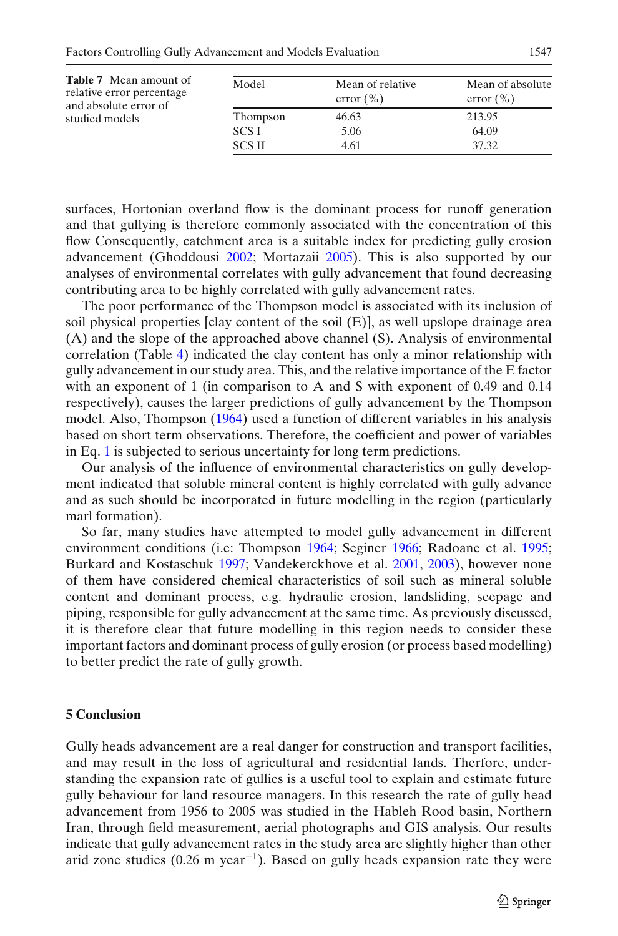<span id="page-17-0"></span>

| <b>Table 7</b> Mean amount of<br>relative error percentage<br>and absolute error of<br>studied models | Model         | Mean of relative<br>error $(\% )$ | Mean of absolute<br>error $(\% )$ |
|-------------------------------------------------------------------------------------------------------|---------------|-----------------------------------|-----------------------------------|
|                                                                                                       | Thompson      | 46.63                             | 213.95                            |
|                                                                                                       | SCS I         | 5.06                              | 64.09                             |
|                                                                                                       | <b>SCS II</b> | 4.61                              | 37.32                             |

surfaces, Hortonian overland flow is the dominant process for runoff generation and that gullying is therefore commonly associated with the concentration of this flow Consequently, catchment area is a suitable index for predicting gully erosion advancement (Ghoddous[i](#page-18-0) [2002;](#page-18-0) Mortazai[i](#page-19-0) [2005](#page-19-0)). This is also supported by our analyses of environmental correlates with gully advancement that found decreasing contributing area to be highly correlated with gully advancement rates.

The poor performance of the Thompson model is associated with its inclusion of soil physical properties [clay content of the soil (E)], as well upslope drainage area (A) and the slope of the approached above channel (S). Analysis of environmental correlation (Table [4\)](#page-13-0) indicated the clay content has only a minor relationship with gully advancement in our study area. This, and the relative importance of the E factor with an exponent of 1 (in comparison to A and S with exponent of 0.49 and 0.14 respectively), causes the larger predictions of gully advancement by the Thompson model. Also, Thompso[n](#page-19-0) [\(1964](#page-19-0)) used a function of different variables in his analysis based on short term observations. Therefore, the coefficient and power of variables in Eq. [1](#page-5-0) is subjected to serious uncertainty for long term predictions.

Our analysis of the influence of environmental characteristics on gully development indicated that soluble mineral content is highly correlated with gully advance and as such should be incorporated in future modelling in the region (particularly marl formation).

So far, many studies have attempted to model gully advancement in different environment conditions (i.e: Thompso[n](#page-19-0) [1964](#page-19-0); Segine[r](#page-19-0) [1966;](#page-19-0) Radoane et al[.](#page-19-0) [1995](#page-19-0); Burkard and Kostaschu[k](#page-18-0) [1997;](#page-18-0) Vandekerckhove et al[.](#page-19-0) [2001,](#page-19-0) [2003](#page-19-0)), however none of them have considered chemical characteristics of soil such as mineral soluble content and dominant process, e.g. hydraulic erosion, landsliding, seepage and piping, responsible for gully advancement at the same time. As previously discussed, it is therefore clear that future modelling in this region needs to consider these important factors and dominant process of gully erosion (or process based modelling) to better predict the rate of gully growth.

#### **5 Conclusion**

Gully heads advancement are a real danger for construction and transport facilities, and may result in the loss of agricultural and residential lands. Therfore, understanding the expansion rate of gullies is a useful tool to explain and estimate future gully behaviour for land resource managers. In this research the rate of gully head advancement from 1956 to 2005 was studied in the Hableh Rood basin, Northern Iran, through field measurement, aerial photographs and GIS analysis. Our results indicate that gully advancement rates in the study area are slightly higher than other arid zone studies (0.26 m year<sup>-1</sup>). Based on gully heads expansion rate they were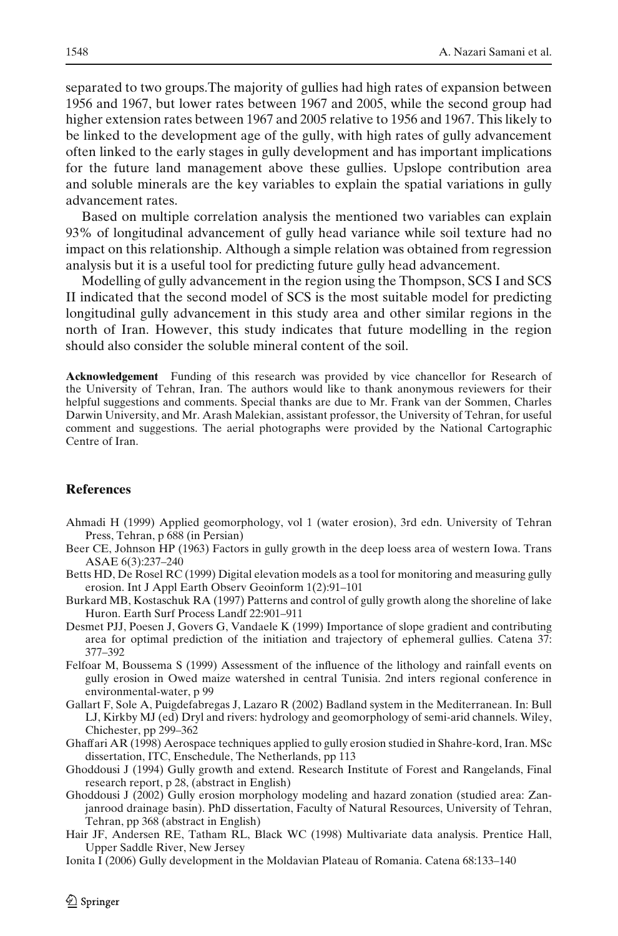<span id="page-18-0"></span>separated to two groups.The majority of gullies had high rates of expansion between 1956 and 1967, but lower rates between 1967 and 2005, while the second group had higher extension rates between 1967 and 2005 relative to 1956 and 1967. This likely to be linked to the development age of the gully, with high rates of gully advancement often linked to the early stages in gully development and has important implications for the future land management above these gullies. Upslope contribution area and soluble minerals are the key variables to explain the spatial variations in gully advancement rates.

Based on multiple correlation analysis the mentioned two variables can explain 93% of longitudinal advancement of gully head variance while soil texture had no impact on this relationship. Although a simple relation was obtained from regression analysis but it is a useful tool for predicting future gully head advancement.

Modelling of gully advancement in the region using the Thompson, SCS I and SCS II indicated that the second model of SCS is the most suitable model for predicting longitudinal gully advancement in this study area and other similar regions in the north of Iran. However, this study indicates that future modelling in the region should also consider the soluble mineral content of the soil.

**Acknowledgement** Funding of this research was provided by vice chancellor for Research of the University of Tehran, Iran. The authors would like to thank anonymous reviewers for their helpful suggestions and comments. Special thanks are due to Mr. Frank van der Sommen, Charles Darwin University, and Mr. Arash Malekian, assistant professor, the University of Tehran, for useful comment and suggestions. The aerial photographs were provided by the National Cartographic Centre of Iran.

#### **References**

- Ahmadi H (1999) Applied geomorphology, vol 1 (water erosion), 3rd edn. University of Tehran Press, Tehran, p 688 (in Persian)
- Beer CE, Johnson HP (1963) Factors in gully growth in the deep loess area of western Iowa. Trans ASAE 6(3):237–240
- Betts HD, De Rosel RC (1999) Digital elevation models as a tool for monitoring and measuring gully erosion. Int J Appl Earth Observ Geoinform 1(2):91–101
- Burkard MB, Kostaschuk RA (1997) Patterns and control of gully growth along the shoreline of lake Huron. Earth Surf Process Landf 22:901–911
- Desmet PJJ, Poesen J, Govers G, Vandaele K (1999) Importance of slope gradient and contributing area for optimal prediction of the initiation and trajectory of ephemeral gullies. Catena 37: 377–392
- Felfoar M, Boussema S (1999) Assessment of the influence of the lithology and rainfall events on gully erosion in Owed maize watershed in central Tunisia. 2nd inters regional conference in environmental-water, p 99
- Gallart F, Sole A, Puigdefabregas J, Lazaro R (2002) Badland system in the Mediterranean. In: Bull LJ, Kirkby MJ (ed) Dryl and rivers: hydrology and geomorphology of semi-arid channels. Wiley, Chichester, pp 299–362
- Ghaffari AR (1998) Aerospace techniques applied to gully erosion studied in Shahre-kord, Iran. MSc dissertation, ITC, Enschedule, The Netherlands, pp 113
- Ghoddousi J (1994) Gully growth and extend. Research Institute of Forest and Rangelands, Final research report, p 28, (abstract in English)
- Ghoddousi J (2002) Gully erosion morphology modeling and hazard zonation (studied area: Zanjanrood drainage basin). PhD dissertation, Faculty of Natural Resources, University of Tehran, Tehran, pp 368 (abstract in English)
- Hair JF, Andersen RE, Tatham RL, Black WC (1998) Multivariate data analysis. Prentice Hall, Upper Saddle River, New Jersey
- Ionita I (2006) Gully development in the Moldavian Plateau of Romania. Catena 68:133–140